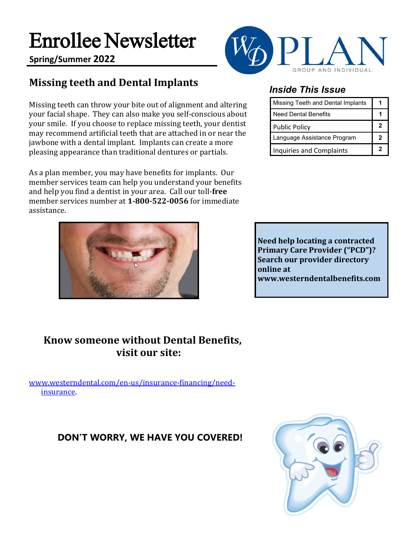# Enrollee Newsletter

**Spring/Summer 2022**

## **Missing teeth and Dental Implants**

Missing teeth can throw your bite out of alignment and altering your facial shape. They can also make you self-conscious about your smile. If you choose to replace missing teeth, your dentist may recommend artificial teeth that are attached in or near the jawbone with a dental implant. Implants can create a more pleasing appearance than traditional dentures or partials.

As a plan member, you may have benefits for implants. Our member services team can help you understand your benefits and help you find a dentist in your area. Call our toll-**free** member services number at **1-800-522-0056** for immediate assistance.





### *Inside This Issue*

| Missing Teeth and Dental Implants |   |
|-----------------------------------|---|
| <b>Need Dental Benefits</b>       |   |
| <b>Public Policy</b>              | 2 |
| Language Assistance Program       | 2 |
| <b>Inquiries and Complaints</b>   | 2 |

**Need help locating a contracted Primary Care Provider ("PCD")? Search our provider directory online at [www.westerndentalbenefits.com](http://www.westerndentalbenefits.com/)**

### **Know someone without Dental Benefits, visit our site:**

[www.westerndental.com/en-us/insurance-financing/need](http://www.westerndental.com/en-us/insurance-financing/need-insurance)[insurance.](http://www.westerndental.com/en-us/insurance-financing/need-insurance)

### **DON'T WORRY, WE HAVE YOU COVERED!**